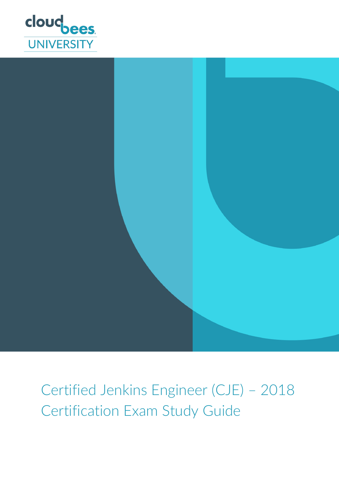



Certified Jenkins Engineer (CJE) – 2018 Certification Exam Study Guide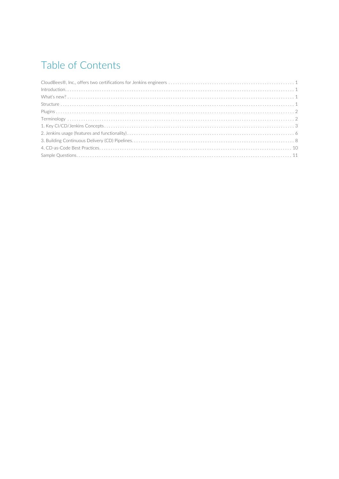# Table of Contents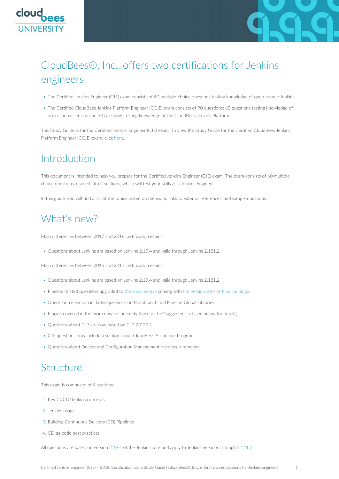<span id="page-2-0"></span>



# CloudBees®, Inc., offers two certifications for Jenkins engineers

- The Certified Jenkins Engineer (CJE) exam consists of 60 multiple-choice questions testing knowledge of open-source Jenkins.
- The Certified CloudBees Jenkins Platform Engineer (CCJE) exam consists of 90 questions: 60 questions testing knowledge of open-source Jenkins and 30 questions testing knowledge of the CloudBees Jenkins Platform.

This Study Guide is for the Certified Jenkins Engineer (CJE) exam. To view the Study Guide for the Certified CloudBees Jenkins Platform Engineer (CCJE) exam, click [here](https://www.cloudbees.com/jenkins/jenkins-certification).

#### <span id="page-2-1"></span>Introduction

This document is intended to help you prepare for the Certified Jenkins Engineer (CJE) exam. The exam consists of 60 multiplechoice questions, divided into 4 sections, which will test your skills as a Jenkins Engineer.

In this guide, you will find a list of the topics tested on the exam, links to external references, and sample questions.

### <span id="page-2-2"></span>What's new?

Main differences between 2017 and 2018 certification exams:

• Questions about Jenkins are based on Jenkins 2.19.4 and valid through Jenkins 2.121.2

Main differences between 2016 and 2017 certification exams:

- Questions about Jenkins are based on Jenkins 2.19.4 and valid through Jenkins 2.121.2
- Pipeline related questions upgraded to [the latest syntax](https://jenkins.io/blog/2016/10/16/stage-lock-milestone/) coming with [the version 2.4+ of Pipeline plugin](https://plugins.jenkins.io/workflow-aggregator#PipelinePlugin-2.4%28Sep21%2C2016%29)
- Open-source section includes questions on Multibranch and Pipeline Global Libraries
- Plugins covered in the exam now include only those in the "suggested" set (see below for details)
- Questions about CJP are now based on CJP 2.7.20.2
- CJP questions now include a section about CloudBees Assurance Program
- Questions about Docker and Configuration Management have been removed

#### <span id="page-2-3"></span>Structure

This exam is comprised of 4 sections:

- 1. Key CI/CD/Jenkins concepts
- 2. Jenkins usage
- 3. Building Continuous Delivery (CD) Pipelines
- 4. CD-as-code best practices

All questions are based on version [2.19.4](https://jenkins.io/changelog-stable/#v2.19.4) of the Jenkins core and apply to Jenkins versions through [2.121.2](https://jenkins.io/changelog-stable/#v2.121.2).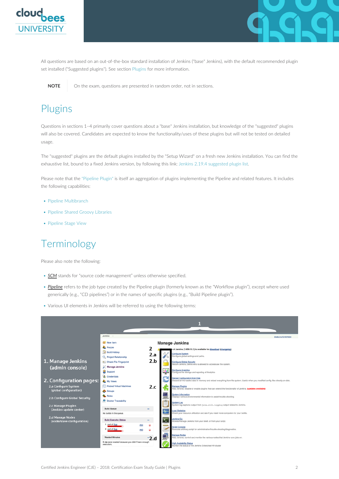



All questions are based on an out-of-the-box standard installation of Jenkins ("base" Jenkins), with the default recommended plugin set installed ("Suggested plugins"). See section [Plugins](#page-3-0) for more information.

**NOTE** On the exam, questions are presented in random order, not in sections.

#### <span id="page-3-0"></span>Plugins

Questions in sections 1–4 primarily cover questions about a "base" Jenkins installation, but knowledge of the "suggested" plugins will also be covered. Candidates are expected to know the functionality/uses of these plugins but will not be tested on detailed usage.

The "suggested" plugins are the default plugins installed by the "Setup Wizard" on a fresh new Jenkins installation. You can find the exhaustive list, bound to a fixed Jenkins version, by following this link: [Jenkins 2.19.4 suggested plugin list.](https://github.com/jenkinsci/jenkins/blob/jenkins-2.19.4/core/src/main/resources/jenkins/install/platform-plugins.json)

Please note that the ["Pipeline Plugin"](https://plugins.jenkins.io/workflow-aggregator) is itself an aggregation of plugins implementing the Pipeline and related features. It includes the following capabilities:

- [Pipeline Multibranch](https://plugins.jenkins.io/workflow-multibranch)
- [Pipeline Shared Groovy Libraries](https://plugins.jenkins.io/workflow-cps-global-lib)
- [Pipeline Stage View](https://plugins.jenkins.io/pipeline-stage-view)

#### <span id="page-3-1"></span>Terminology

Please also note the following:

- **SCM** stands for "source code management" unless otherwise specified.
- *Pipeline* refers to the job type created by the Pipeline plugin (formerly known as the "Workflow plugin"), except where used generically (e.g., "CD pipelines") or in the names of specific plugins (e.g., "Build Pipeline plugin").
- Various UI elements in Jenkins will be referred to using the following terms:

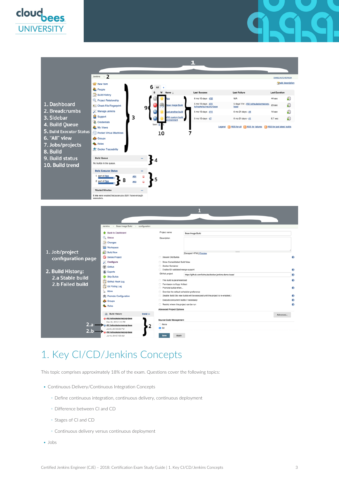







### <span id="page-4-0"></span>1. Key CI/CD/Jenkins Concepts

This topic comprises approximately 18% of the exam. Questions cover the following topics:

- Continuous Delivery/Continuous Integration Concepts
	- Define continuous integration, continuous delivery, continuous deployment
	- Difference between CI and CD
	- Stages of CI and CD
	- Continuous delivery versus continuous deployment
- Jobs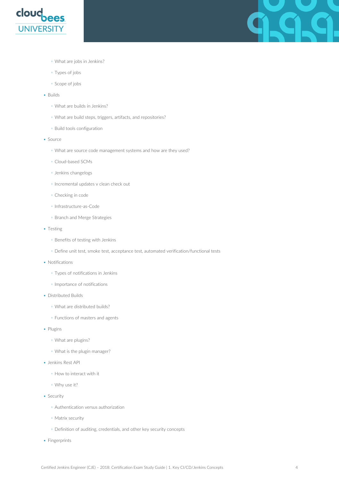

99

- What are jobs in Jenkins?
- Types of jobs
- Scope of jobs
- Builds
	- What are builds in Jenkins?
	- What are build steps, triggers, artifacts, and repositories?
	- Build tools configuration
- Source
	- What are source code management systems and how are they used?
	- Cloud-based SCMs
	- Jenkins changelogs
	- Incremental updates v clean check out
	- Checking in code
	- Infrastructure-as-Code
	- Branch and Merge Strategies
- Testing
	- Benefits of testing with Jenkins
	- Define unit test, smoke test, acceptance test, automated verification/functional tests
- Notifications
	- Types of notifications in Jenkins
	- Importance of notifications
- Distributed Builds
	- What are distributed builds?
	- Functions of masters and agents
- Plugins
	- What are plugins?
	- What is the plugin manager?
- Jenkins Rest API
	- How to interact with it
	- Why use it?
- Security
	- Authentication versus authorization
	- Matrix security
	- Definition of auditing, credentials, and other key security concepts
- Fingerprints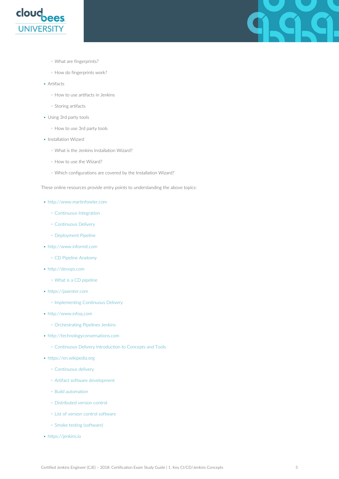

- What are fingerprints?
- How do fingerprints work?
- Artifacts
	- How to use artifacts in Jenkins
	- Storing artifacts
- Using 3rd party tools
	- How to use 3rd party tools
- Installation Wizard
	- What is the Jenkins Installation Wizard?
	- How to use the Wizard?
	- Which configurations are covered by the Installation Wizard?

These online resources provide entry points to understanding the above topics:

- <http://www.martinfowler.com>
	- [Continuous Integration](https://www.martinfowler.com/articles/continuousIntegration.html)
	- [Continuous Delivery](https://martinfowler.com/bliki/ContinuousDelivery.html)
	- [Deployment Pipeline](https://martinfowler.com/bliki/DeploymentPipeline.html)
- <http://www.informit.com>
	- [CD Pipeline Anatomy](http://www.informit.com/articles/article.aspx?p=1621865&seqNum=2)
- <http://devops.com>
	- [What is a CD pipeline](https://devops.com/continuous-delivery-pipeline/)
- <https://jaxenter.com>
	- [Implementing Continuous Delivery](https://jaxenter.com/implementing-continuous-delivery-117916.html)
- <http://www.infoq.com>
	- [Orchestrating Pipelines Jenkins](https://www.infoq.com/articles/orch-pipelines-jenkins)
- <http://technologyconversations.com>
	- [Continuous Delivery Introduction to Concepts and Tools](https://technologyconversations.com/2014/04/29/continuous-delivery-introduction-to-concepts-and-tools/)
- <https://en.wikipedia.org>
	- [Continuous delivery](https://en.wikipedia.org/wiki/Continuous_delivery)
	- [Artifact software development](https://en.wikipedia.org/wiki/Artifact_%28software_development%29)
	- [Build automation](https://en.wikipedia.org/wiki/Build_automation)
	- [Distributed version control](https://en.wikipedia.org/wiki/Distributed_version_control)
	- [List of version control software](https://en.wikipedia.org/wiki/List_of_version_control_software)
	- [Smoke testing \(software\)](https://en.wikipedia.org/wiki/Smoke_testing_(software))
- <https://jenkins.io>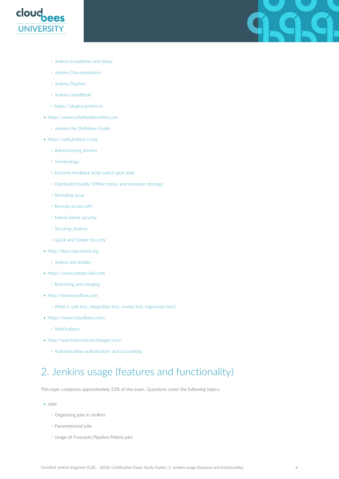

- [Jenkins Installation and Setup](https://jenkins.io/doc/book/installing/)
- [Jenkins Documentation](https://jenkins.io/doc/)
- [Jenkins Pipeline](https://jenkins.io/doc/book/pipeline/)
- [Jenkins HandBook](https://jenkins.io/doc/book/)
- <https://plugins.jenkins.io>
- <https://www.safaribooksonline.com>
	- [Jenkins the Definitive Guide](https://www.safaribooksonline.com/library/view/jenkins-the-definitive/9781449311155/ch05.html)
- <https://wiki.jenkins-ci.org>
	- [Administering Jenkins](https://wiki.jenkins.io/display/JENKINS/Administering+Jenkins)
	- [Terminology](https://wiki.jenkins.io/display/JENKINS/Terminology)
	- [Extreme feedback lamp switch gear style](https://jenkins.io/blog/2013/09/05/extreme-feedback-lamp-switch-gear-style/)
	- [Distributed builds: Offline status and retention strategy](https://wiki.jenkins.io/display/JENKINS/Distributed+builds#Distributedbuilds-Offlinestatusandretentionstrategy)
	- [Remoting issue](https://wiki.jenkins.io/display/JENKINS/Remoting+issue)
	- [Remote access API](https://wiki.jenkins.io/display/JENKINS/Remote+access+API)
	- [Matrix based security](https://wiki.jenkins.io/display/JENKINS/Matrix-based+security)
	- [Securing Jenkins](https://wiki.jenkins.io/display/JENKINS/Securing+Jenkins)
	- [Quick and Simple Security](https://wiki.jenkins.io/display/JENKINS/Quick+and+Simple+Security)
- <http://docs.openstack.org>
	- [Jenkins job builder](https://docs.openstack.org/infra/jenkins-job-builder/triggers.html)
- <https://www.simple-talk.com>
	- [Branching and merging](https://www.red-gate.com/simple-talk/opinion/opinion-pieces/branching-and-merging-ten-pretty-good-practices/)
- <http://stackoverflow.com>
	- [What is unit test, integration test, smoke test, regression test?](https://stackoverflow.com/questions/520064/what-is-unit-test-integration-test-smoke-test-regression-test)
- <https://www.cloudbees.com/>
	- [Notifications](https://www.cloudbees.com/blog/sending-notifications-pipeline)
- <http://searchsecurity.techtarget.com/>
	- [Authentication authorization and accounting](http://searchsecurity.techtarget.com/definition/authentication-authorization-and-accounting)

### <span id="page-7-0"></span>2. Jenkins usage (features and functionality)

This topic comprises approximately 23% of the exam. Questions cover the following topics:

- Jobs
	- Organizing jobs in Jenkins
	- Parameterized jobs
	- Usage of Freestyle/Pipeline/Matrix jobs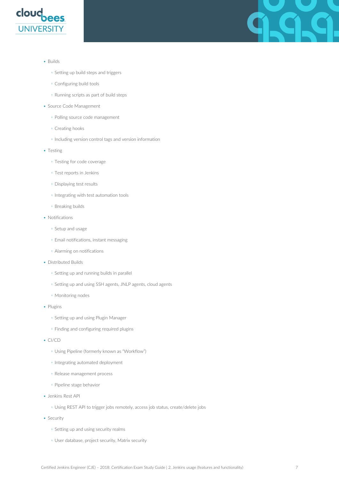



- Builds
	- Setting up build steps and triggers
	- Configuring build tools
	- Running scripts as part of build steps
- Source Code Management
	- Polling source code management
	- Creating hooks
	- Including version control tags and version information
- Testing
	- Testing for code coverage
	- Test reports in Jenkins
	- Displaying test results
	- Integrating with test automation tools
	- Breaking builds
- Notifications
	- Setup and usage
	- Email notifications, instant messaging
	- Alarming on notifications
- Distributed Builds
	- Setting up and running builds in parallel
	- Setting up and using SSH agents, JNLP agents, cloud agents
	- Monitoring nodes
- Plugins
	- Setting up and using Plugin Manager
	- Finding and configuring required plugins
- CI/CD
	- Using Pipeline (formerly known as "Workflow")
	- Integrating automated deployment
	- Release management process
	- Pipeline stage behavior
- Jenkins Rest API
	- Using REST API to trigger jobs remotely, access job status, create/delete jobs
- Security
	- Setting up and using security realms
	- User database, project security, Matrix security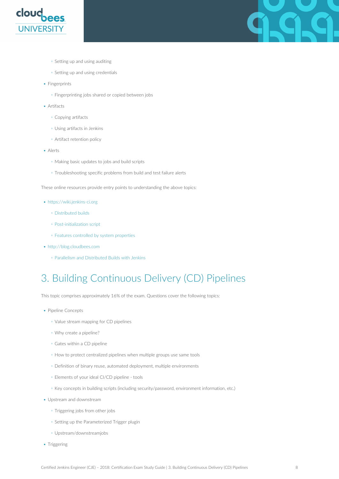

- Setting up and using auditing
- Setting up and using credentials
- Fingerprints
	- Fingerprinting jobs shared or copied between jobs
- Artifacts
	- Copying artifacts
	- Using artifacts in Jenkins
	- Artifact retention policy
- Alerts
	- Making basic updates to jobs and build scripts
	- Troubleshooting specific problems from build and test failure alerts

These online resources provide entry points to understanding the above topics:

- <https://wiki.jenkins-ci.org>
	- [Distributed builds](https://wiki.jenkins.io/display/JENKINS/Distributed+builds)
	- [Post-initialization script](https://wiki.jenkins-ci.org/display/JENKINS/Post-initialization+script)
	- [Features controlled by system properties](https://wiki.jenkins.io/display/JENKINS/Features+controlled+by+system+properties)
- <http://blog.cloudbees.com>
	- [Parallelism and Distributed Builds with Jenkins](https://www.cloudbees.com/blog/parallelism-and-distributed-builds-jenkins)

# <span id="page-9-0"></span>3. Building Continuous Delivery (CD) Pipelines

This topic comprises approximately 16% of the exam. Questions cover the following topics:

- Pipeline Concepts
	- Value stream mapping for CD pipelines
	- Why create a pipeline?
	- Gates within a CD pipeline
	- How to protect centralized pipelines when multiple groups use same tools
	- Definition of binary reuse, automated deployment, multiple environments
	- Elements of your ideal CI/CD pipeline tools
	- Key concepts in building scripts (including security/password, environment information, etc.)
- Upstream and downstream
	- Triggering jobs from other jobs
	- Setting up the Parameterized Trigger plugin
	- Upstream/downstreamjobs
- Triggering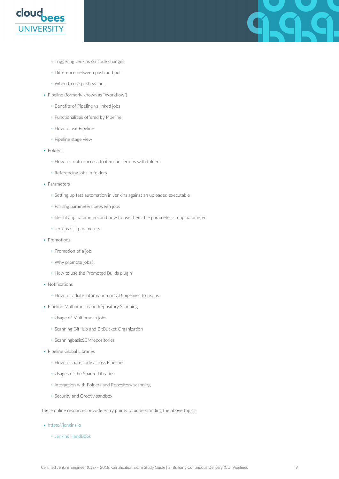

- Triggering Jenkins on code changes
- Difference between push and pull
- When to use push vs. pull
- Pipeline (formerly known as "Workflow")
	- Benefits of Pipeline vs linked jobs
	- Functionalities offered by Pipeline
	- How to use Pipeline
	- Pipeline stage view
- Folders
	- How to control access to items in Jenkins with folders
	- Referencing jobs in folders
- Parameters
	- Setting up test automation in Jenkins against an uploaded executable
	- Passing parameters between jobs
	- Identifying parameters and how to use them: file parameter, string parameter
	- Jenkins CLI parameters
- Promotions
	- Promotion of a job
	- Why promote jobs?
	- How to use the Promoted Builds plugin
- Notifications
	- How to radiate information on CD pipelines to teams
- Pipeline Multibranch and Repository Scanning
	- Usage of Multibranch jobs
	- Scanning GitHub and BitBucket Organization
	- ScanningbasicSCMrepositories
- Pipeline Global Libraries
	- How to share code across Pipelines
	- Usages of the Shared Libraries
	- Interaction with Folders and Repository scanning
	- Security and Groovy sandbox

These online resources provide entry points to understanding the above topics:

- <https://jenkins.io>
	- [Jenkins HandBook](https://jenkins.io/doc/book/)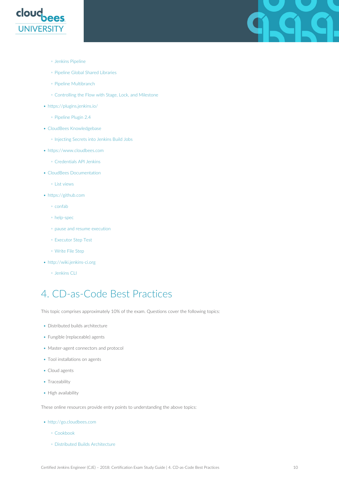

- [Jenkins Pipeline](https://jenkins.io/doc/book/pipeline/)
- [Pipeline Global Shared Libraries](https://jenkins.io/doc/book/pipeline/shared-libraries/)
- [Pipeline Multibranch](https://jenkins.io/doc/book/pipeline/multibranch/)
- [Controlling the Flow with Stage, Lock, and Milestone](https://jenkins.io/blog/2016/10/16/stage-lock-milestone/)
- <https://plugins.jenkins.io/>
	- [Pipeline Plugin 2.4](https://plugins.jenkins.io/workflow-aggregator#PipelinePlugin-2.4%28Sep21%2C2016%29)
- [CloudBees Knowledgebase](https://support.cloudbees.com/hc/en-us)
	- [Injecting Secrets into Jenkins Build Jobs](https://support.cloudbees.com/hc/en-us/articles/203802500-Injecting-Secrets-into-Jenkins-Build-Jobs)
- <https://www.cloudbees.com>
	- [Credentials API Jenkins](https://support.cloudbees.com/hc/en-us/articles/203802500-Injecting-Secrets-into-Jenkins-Build-Jobs)
- [CloudBees Documentation](https://go.cloudbees.com/doc/index.html)
	- [List views](https://go.cloudbees.com/doc/index.html)
- <https://github.com>
	- [confab](https://github.com/jenkinsci/jenkins/blob/3537831a42cd5b3b27a41fcde9b1f201962f38a1/core/src/main/grammar/crontab.g#L68-L71)
	- [help-spec](https://github.com/jenkinsci/jenkins/blob/3537831a42cd5b3b27a41fcde9b1f201962f38a1/core/src/main/resources/hudson/triggers/TimerTrigger/help-spec.html#L45-L46)
	- [pause and resume execution](https://github.com/jenkinsci/pipeline-plugin/blob/feb5bf44573dfc9379d9551f12b0372907e787be/README.md#pause-and-resume-execution)
	- [Executor Step Test](https://github.com/jenkinsci/pipeline-plugin/blob/feb5bf44573dfc9379d9551f12b0372907e787be/aggregator/src/test/java/org/jenkinsci/plugins/workflow/steps/ExecutorStepTest.java#L165-L214)
	- [Write File Step](https://github.com/jenkinsci/pipeline-plugin/blob/e0263fc7275e804785e4e93054ef0f2f2945a2dc/basic-steps/src/main/resources/org/jenkinsci/plugins/workflow/steps/WriteFileStep/help.html#L1)
- <http://wiki.jenkins-ci.org>
	- [Jenkins CLI](https://wiki.jenkins.io/display/JENKINS/Jenkins+CLI)

### <span id="page-11-0"></span>4. CD-as-Code Best Practices

This topic comprises approximately 10% of the exam. Questions cover the following topics:

- Distributed builds architecture
- Fungible (replaceable) agents
- Master-agent connectors and protocol
- Tool installations on agents
- Cloud agents
- Traceability
- High availability

These online resources provide entry points to understanding the above topics:

- <http://go.cloudbees.com>
	- [Cookbook](https://go.cloudbees.com/docs/cloudbees-documentation/cookbook/book.html)
	- [Distributed Builds Architecture](https://go.cloudbees.com/docs/cloudbees-documentation/cookbook/book.html#_distributed_builds_architecture)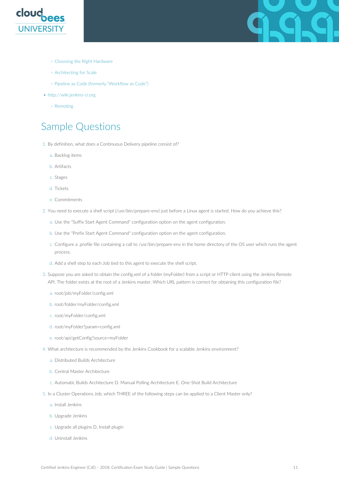



- [Choosing the Right Hardware](https://go.cloudbees.com/docs/cloudbees-documentation/cookbook/book.html#_choosing_the_right_hardware_for_masters)
- [Architecting for Scale](https://go.cloudbees.com/docs/cloudbees-documentation/cookbook/book.html#_architecting_for_scale)
- [Pipeline as Code \(formerly "Workflow as Code"\)](https://go.cloudbees.com/docs/cloudbees-documentation/cookbook/book.html#pipeline-as-code)
- <http://wiki.jenkins-ci.org>
	- [Remoting](https://wiki.jenkins.io/display/JENKINS/Remoting+issue)

#### <span id="page-12-0"></span>Sample Questions

- 1. By definition, what does a Continuous Delivery pipeline consist of?
	- a. Backlog items
	- b. Artifacts
	- c. Stages
	- d. Tickets
	- e. Commitments
- 2. You need to execute a shell script (/usr/bin/prepare-env) just before a Linux agent is started. How do you achieve this?
	- a. Use the "Suffix Start Agent Command" configuration option on the agent configuration.
	- b. Use the "Prefix Start Agent Command" configuration option on the agent configuration.
	- c. Configure a .profile file containing a call to /usr/bin/prepare-env in the home directory of the OS user which runs the agent process.
	- d. Add a shell step to each Job tied to this agent to execute the shell script.
- 3. Suppose you are asked to obtain the config.xml of a folder (myFolder) from a script or HTTP client using the Jenkins Remote API. The folder exists at the root of a Jenkins master. Which URL pattern is correct for obtaining this configuration file?
	- a. root/job/myFolder/config.xml
	- b. root/folder/myFolder/config.xml
	- c. root/myFolder/config.xml
	- d. root/myFolder?param=config.xml
	- e. root/api/getConfig?source=myFolder
- 4. What architecture is recommended by the Jenkins Cookbook for a scalable Jenkins environment?
	- a. Distributed Builds Architecture
	- b. Central Master Architecture
	- c. Automatic Builds Architecture D. Manual Polling Architecture E. One-Shot Build Architecture
- 5. In a Cluster Operations Job, which THREE of the following steps can be applied to a Client Master only?
	- a. Install Jenkins
	- b. Upgrade Jenkins
	- c. Upgrade all plugins D. Install plugin
	- d. Uninstall Jenkins